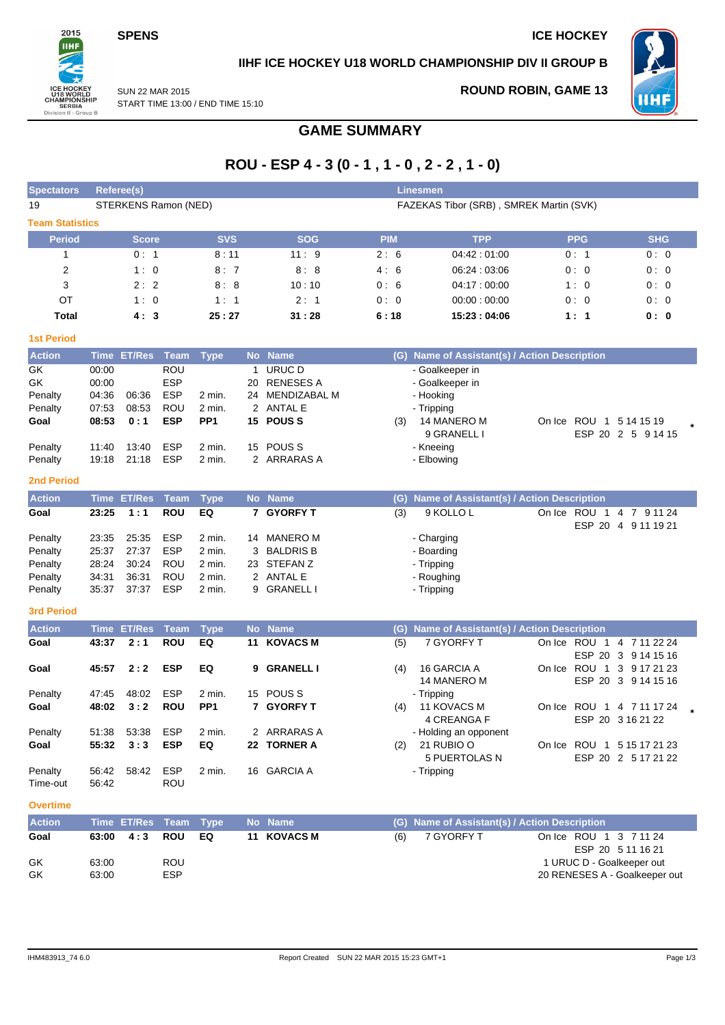**SPENS** ICE HOCKEY



## **IIHF ICE HOCKEY U18 WORLD CHAMPIONSHIP DIV II GROUP B**

SUN 22 MAR 2015 START TIME 13:00 / END TIME 15:10 **ROUND ROBIN, GAME 13**



## **GAME SUMMARY**

# **ROU - ESP 4 - 3 (0 - 1 , 1 - 0 , 2 - 2 , 1 - 0)**

| <b>Spectators</b>      |                | Referee(s)           |                          |                           |    |                              |            | <b>Linesmen</b>                               |            |                                                   |
|------------------------|----------------|----------------------|--------------------------|---------------------------|----|------------------------------|------------|-----------------------------------------------|------------|---------------------------------------------------|
| 19                     |                | STERKENS Ramon (NED) |                          |                           |    |                              |            | FAZEKAS Tibor (SRB), SMREK Martin (SVK)       |            |                                                   |
| <b>Team Statistics</b> |                |                      |                          |                           |    |                              |            |                                               |            |                                                   |
| <b>Period</b>          |                | <b>Score</b>         |                          | <b>SVS</b>                |    | <b>SOG</b>                   | <b>PIM</b> | <b>TPP</b>                                    | <b>PPG</b> | <b>SHG</b>                                        |
| 1                      |                | 0:1                  |                          | 8:11                      |    | 11:9                         | 2:6        | 04:42:01:00                                   | 0:1        | 0:0                                               |
| 2                      |                | 1:0                  |                          | 8:7                       |    | 8:8                          | 4:6        | 06:24:03:06                                   | 0:0        | 0:0                                               |
| 3                      |                | 2:2                  |                          | 8:8                       |    | 10:10                        | 0:6        | 04:17:00:00                                   | 1:0        | 0:0                                               |
| OT                     |                | 1:0                  |                          | 1:1                       |    | 2:1                          | 0:0        | 00:00:00:00                                   | 0:0        | 0:0                                               |
| <b>Total</b>           |                | 4:3                  |                          | 25:27                     |    | 31:28                        | 6:18       | 15:23:04:06                                   | 1:1        | 0: 0                                              |
| <b>1st Period</b>      |                |                      |                          |                           |    |                              |            |                                               |            |                                                   |
| <b>Action</b>          |                | Time ET/Res          | Team                     | <b>Type</b>               |    | No Name                      |            | (G) Name of Assistant(s) / Action Description |            |                                                   |
| GK                     | 00:00          |                      | <b>ROU</b>               |                           |    | 1 URUC D                     |            | - Goalkeeper in                               |            |                                                   |
| GK                     | 00:00          |                      | <b>ESP</b>               |                           | 20 | <b>RENESES A</b>             |            | - Goalkeeper in                               |            |                                                   |
| Penalty                | 04:36          | 06:36<br>08:53       | <b>ESP</b><br><b>ROU</b> | 2 min.                    |    | 24 MENDIZABAL M<br>2 ANTAL E |            | - Hooking                                     |            |                                                   |
| Penalty<br>Goal        | 07:53<br>08:53 | 0:1                  | <b>ESP</b>               | 2 min.<br>PP <sub>1</sub> |    | 15 POUSS                     | (3)        | - Tripping<br>14 MANERO M                     |            | On Ice ROU 1 5 14 15 19                           |
|                        |                |                      |                          |                           |    |                              |            | 9 GRANELL I                                   |            | ESP 20 2 5 9 14 15                                |
| Penalty                | 11:40          | 13:40                | <b>ESP</b>               | 2 min.                    | 15 | POUS <sub>S</sub>            |            | - Kneeing                                     |            |                                                   |
| Penalty                | 19:18          | 21:18                | <b>ESP</b>               | 2 min.                    |    | 2 ARRARAS A                  |            | - Elbowing                                    |            |                                                   |
| <b>2nd Period</b>      |                |                      |                          |                           |    |                              |            |                                               |            |                                                   |
| <b>Action</b>          |                | Time ET/Res          | Team                     | <b>Type</b>               |    | No Name                      |            | (G) Name of Assistant(s) / Action Description |            |                                                   |
| Goal                   | 23:25          | 1:1                  | <b>ROU</b>               | EQ                        | 7  | <b>GYORFY T</b>              | (3)        | 9 KOLLO L                                     |            | On Ice ROU 1 4 7 9 11 24<br>ESP 20 4 9 11 19 21   |
| Penalty                | 23:35          | 25:35                | <b>ESP</b>               | 2 min.                    |    | 14 MANERO M                  |            | - Charging                                    |            |                                                   |
| Penalty                | 25:37          | 27:37                | <b>ESP</b>               | 2 min.                    | 3  | <b>BALDRIS B</b>             |            | - Boarding                                    |            |                                                   |
| Penalty                | 28:24          | 30:24                | ROU                      | 2 min.                    |    | 23 STEFAN Z                  |            | - Tripping                                    |            |                                                   |
| Penalty                | 34:31          | 36:31                | <b>ROU</b>               | 2 min.                    |    | 2 ANTAL E                    |            | - Roughing                                    |            |                                                   |
| Penalty                | 35:37          | 37:37                | <b>ESP</b>               | 2 min.                    | 9  | <b>GRANELL I</b>             |            | - Tripping                                    |            |                                                   |
| <b>3rd Period</b>      |                |                      |                          |                           |    |                              |            |                                               |            |                                                   |
| <b>Action</b>          |                | Time ET/Res          | <b>Team</b>              | <b>Type</b>               |    | No Name                      |            | (G) Name of Assistant(s) / Action Description |            |                                                   |
| Goal                   | 43:37          | 2:1                  | <b>ROU</b>               | EQ                        | 11 | <b>KOVACS M</b>              | (5)        | 7 GYORFY T                                    |            | On Ice ROU 1 4 7 11 22 24<br>ESP 20 3 9 14 15 16  |
| Goal                   | 45:57          | 2:2                  | <b>ESP</b>               | EQ                        | 9  | <b>GRANELL I</b>             | (4)        | 16 GARCIA A                                   |            | On Ice ROU 1 3 9 17 21 23                         |
|                        |                |                      |                          |                           |    |                              |            | 14 MANERO M                                   |            | ESP 20 3 9 14 15 16                               |
| Penalty                | 47:45          | 48:02                | <b>ESP</b>               | 2 min.                    | 15 | POUS <sub>S</sub>            |            | - Tripping                                    |            |                                                   |
| Goal                   | 48:02          | 3:2                  | <b>ROU</b>               | PP <sub>1</sub>           |    | 7 GYORFY T                   | (4)        | <b>11 KOVACS M</b>                            |            | On Ice ROU 1 4 7 11 17 24                         |
|                        |                |                      |                          |                           |    |                              |            | 4 CREANGA F                                   |            | ESP 20 3 16 21 22                                 |
| Penalty                | 51:38          | 53:38                | <b>ESP</b><br><b>ESP</b> | 2 min.                    |    | 2 ARRARAS A                  |            | - Holding an opponent<br>(2) 21 RUBIO O       |            |                                                   |
| Goal                   | 55:32          | 3:3                  |                          | EQ                        |    | 22 TORNER A                  |            | 5 PUERTOLAS N                                 |            | On Ice ROU 1 5 15 17 21 23<br>ESP 20 2 5 17 21 22 |
| Penalty                | 56:42          | 58:42                | <b>ESP</b>               | 2 min.                    |    | 16 GARCIA A                  |            | - Tripping                                    |            |                                                   |
| Time-out               | 56:42          |                      | <b>ROU</b>               |                           |    |                              |            |                                               |            |                                                   |
| <b>Overtime</b>        |                |                      |                          |                           |    |                              |            |                                               |            |                                                   |
| <b>Action</b>          |                | Time ET/Res Team     |                          | <b>Type</b>               |    | No Name                      |            | (G) Name of Assistant(s) / Action Description |            |                                                   |
| Goal                   | 63:00          | 4:3                  | <b>ROU</b>               | EQ                        |    | 11 KOVACS M                  | (6)        | 7 GYORFY T                                    |            | On Ice ROU 1 3 7 11 24                            |
|                        |                |                      |                          |                           |    |                              |            |                                               |            | ESP 20 5 11 16 21                                 |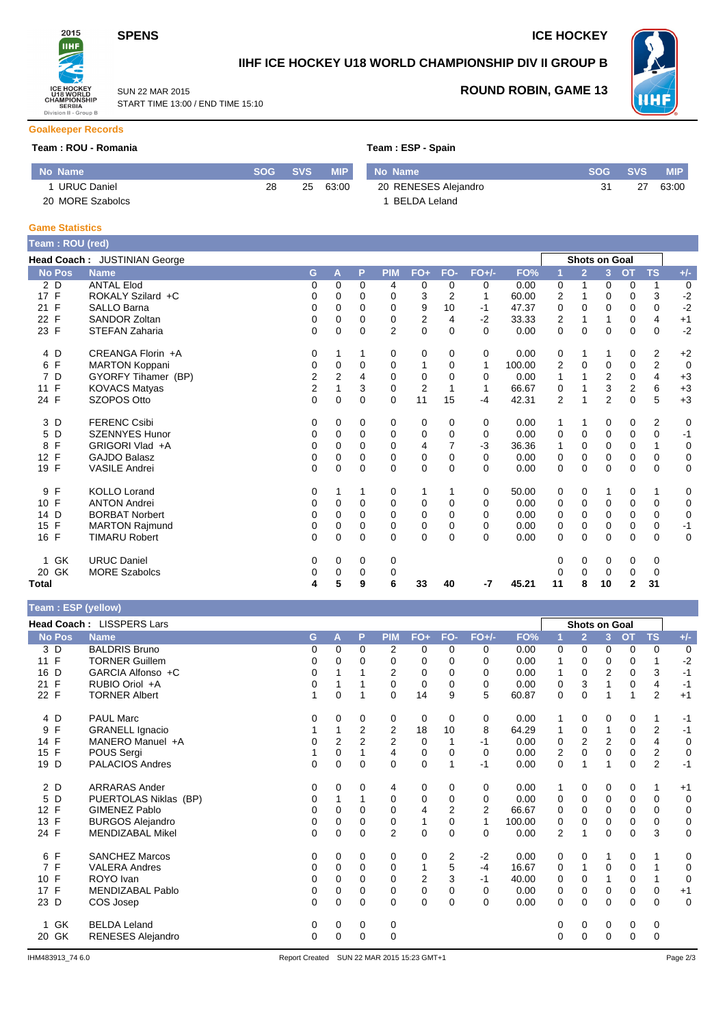

SUN 22 MAR 2015

START TIME 13:00 / END TIME 15:10

### **SPENS** ICE HOCKEY



## **IIHF ICE HOCKEY U18 WORLD CHAMPIONSHIP DIV II GROUP B**



### **ROUND ROBIN, GAME 13**

#### **Goalkeeper Records**

#### **Team : ROU - Romania Team : ESP - Spain**

| No Name            |    | <b>SOG SVS</b> | <b>MIP</b> | No Name              | <b>SOG</b> | <b>SVS</b> | <b>MIP</b> |
|--------------------|----|----------------|------------|----------------------|------------|------------|------------|
| <b>URUC Daniel</b> | 28 | 25             | 63:00      | 20 RENESES Alejandro | 31         | 27         | 63:00      |
| 20 MORE Szabolcs   |    |                |            | ™ BELDA Leland       |            |            |            |

#### **Game Statistics**

| Team: ROU (red)      |                              |                |                |          |                |                |                |          |        |                |                |                |             |                |       |
|----------------------|------------------------------|----------------|----------------|----------|----------------|----------------|----------------|----------|--------|----------------|----------------|----------------|-------------|----------------|-------|
|                      | Head Coach: JUSTINIAN George |                |                |          |                |                |                |          |        |                |                | Shots on Goal  |             |                |       |
| <b>No Pos</b>        | <b>Name</b>                  | G              | A              | P        | <b>PIM</b>     | FO+            | FO-            | $FO+/-$  | FO%    |                | $\overline{2}$ | 3              | <b>OT</b>   | <b>TS</b>      | $+/-$ |
| 2 D                  | <b>ANTAL Elod</b>            | 0              | $\Omega$       | $\Omega$ | 4              | 0              | $\Omega$       | 0        | 0.00   | 0              | 1              | 0              | 0           | 1              | 0     |
| 17 F                 | ROKALY Szilard +C            | 0              | 0              | 0        | 0              | 3              | $\overline{2}$ | 1        | 60.00  | 2              |                | $\Omega$       | $\Omega$    | 3              | $-2$  |
| 21 F                 | <b>SALLO Barna</b>           | 0              | $\Omega$       | 0        | 0              | 9              | 10             | $-1$     | 47.37  | 0              | $\Omega$       | $\Omega$       | 0           | 0              | $-2$  |
| $\mathsf{F}$<br>22   | <b>SANDOR Zoltan</b>         | 0              | 0              | 0        | 0              | 2              | 4              | $-2$     | 33.33  | 2              |                |                | 0           | 4              | $+1$  |
| 23 F                 | STEFAN Zaharia               | $\Omega$       | $\Omega$       | $\Omega$ | $\overline{2}$ | $\Omega$       | $\Omega$       | $\Omega$ | 0.00   | 0              | $\Omega$       | $\Omega$       | $\Omega$    | $\Omega$       | $-2$  |
| 4 D                  | CREANGA Florin +A            | 0              | 1              |          | 0              | 0              | 0              | 0        | 0.00   | 0              | 1              |                | 0           | $\overline{2}$ | $+2$  |
| F<br>6               | <b>MARTON Koppani</b>        | 0              | 0              | 0        | 0              | 1              | 0              | 1        | 100.00 | 2              | 0              | $\mathbf 0$    | 0           | $\mathbf 2$    | 0     |
| D<br>$\overline{7}$  | GYORFY Tihamer (BP)          | 2              | $\overline{2}$ | 4        | 0              | 0              | 0              | 0        | 0.00   | 1              |                | 2              | 0           | 4              | $+3$  |
| 11 F                 | <b>KOVACS Matyas</b>         | $\overline{c}$ |                | 3        | $\Omega$       | $\overline{2}$ |                | 1        | 66.67  | 0              |                | 3              | 2           | 6              | $+3$  |
| 24 F                 | SZOPOS Otto                  | 0              | 0              | 0        | 0              | 11             | 15             | $-4$     | 42.31  | $\overline{2}$ |                | $\overline{2}$ | $\mathbf 0$ | 5              | $+3$  |
| 3 D                  | <b>FERENC Csibi</b>          | 0              | 0              | 0        | 0              | 0              | 0              | 0        | 0.00   | 1              | 1              | 0              | 0           | $\overline{2}$ | 0     |
| D<br>5               | <b>SZENNYES Hunor</b>        | 0              | $\Omega$       | $\Omega$ | 0              | 0              | 0              | 0        | 0.00   | 0              | 0              | $\mathbf 0$    | 0           | 0              | $-1$  |
| F<br>8               | GRIGORI Vlad +A              | 0              | 0              | 0        | 0              | 4              |                | -3       | 36.36  | 1              | $\Omega$       | $\Omega$       | 0           |                | 0     |
| F<br>12              | <b>GAJDO Balasz</b>          | 0              | 0              | $\Omega$ | 0              | 0              | $\mathbf 0$    | 0        | 0.00   | 0              | 0              | $\mathbf 0$    | 0           | $\mathbf 0$    | 0     |
| 19 F                 | <b>VASILE Andrei</b>         | $\Omega$       | $\mathbf 0$    | $\Omega$ | $\Omega$       | 0              | $\Omega$       | $\Omega$ | 0.00   | 0              | $\Omega$       | $\Omega$       | $\Omega$    | $\mathbf 0$    | 0     |
| 9 F                  | <b>KOLLO Lorand</b>          | 0              |                |          | 0              |                |                | 0        | 50.00  | 0              | 0              |                | 0           | 1              | 0     |
| F<br>10 <sup>°</sup> | <b>ANTON Andrei</b>          | 0              | 0              | $\Omega$ | 0              | 0              | $\Omega$       | 0        | 0.00   | 0              | 0              | 0              | 0           | 0              | 0     |
| 14 D                 | <b>BORBAT Norbert</b>        | 0              | $\Omega$       | $\Omega$ | 0              | 0              | $\Omega$       | $\Omega$ | 0.00   | 0              | 0              | $\Omega$       | 0           | 0              | 0     |
| F<br>15              | <b>MARTON Rajmund</b>        | 0              | 0              | 0        | 0              | 0              | 0              | 0        | 0.00   | 0              | 0              | 0              | 0           | 0              | $-1$  |
| 16 F                 | <b>TIMARU Robert</b>         | 0              | 0              | $\Omega$ | $\Omega$       | 0              | $\Omega$       | $\Omega$ | 0.00   | 0              | $\Omega$       | $\Omega$       | 0           | 0              | 0     |
| <b>GK</b><br>1.      | <b>URUC Daniel</b>           | 0              | 0              | 0        | 0              |                |                |          |        | 0              | 0              | 0              | 0           | 0              |       |
| 20 GK                | <b>MORE Szabolcs</b>         | 0              | 0              | $\Omega$ | 0              |                |                |          |        | 0              | 0              | 0              | 0           | 0              |       |
| Total                |                              | 4              | 5              | 9        | 6              | 33             | 40             | -7       | 45.21  | 11             | 8              | 10             | 2           | 31             |       |

| Team: ESP (yellow) |  |
|--------------------|--|
|                    |  |

|                      | Head Coach: LISSPERS Lars |   |                |                |                |                |                |                |        |                | <b>Shots on Goal</b> |                |             |                |             |
|----------------------|---------------------------|---|----------------|----------------|----------------|----------------|----------------|----------------|--------|----------------|----------------------|----------------|-------------|----------------|-------------|
| <b>No Pos</b>        | <b>Name</b>               | G | А              | P              | <b>PIM</b>     | $FO+$          | FO-            | $FO+/-$        | FO%    |                | $\overline{2}$       | $\overline{3}$ | <b>OT</b>   | <b>TS</b>      | $+/-$       |
| 3 D                  | <b>BALDRIS Bruno</b>      | 0 | 0              | 0              | 2              | 0              | 0              | 0              | 0.00   | 0              | 0                    | 0              | 0           | 0              | 0           |
| $\mathsf{F}$<br>11   | <b>TORNER Guillem</b>     | 0 | 0              | 0              | 0              | 0              | 0              | 0              | 0.00   | 1              | 0                    | 0              | 0           |                | $-2$        |
| D<br>16              | GARCIA Alfonso +C         | 0 |                |                | 2              | 0              | 0              | 0              | 0.00   | 1              | 0                    | $\overline{2}$ | $\mathbf 0$ | 3              | $-1$        |
| F<br>21              | RUBIO Oriol +A            | 0 |                |                | $\Omega$       | $\mathbf 0$    | $\Omega$       | $\Omega$       | 0.00   | 0              | 3                    |                | 0           | 4              | $-1$        |
| F<br>22              | <b>TORNER Albert</b>      |   | 0              |                | $\Omega$       | 14             | 9              | 5              | 60.87  | 0              | 0                    | 1              |             | $\overline{2}$ | $+1$        |
| 4 D                  | <b>PAUL Marc</b>          | 0 | 0              | 0              | 0              | 0              | 0              | 0              | 0.00   | 1              | 0                    | 0              | 0           | 1              | -1          |
| $\mathsf F$<br>9     | <b>GRANELL Ignacio</b>    |   |                | 2              | 2              | 18             | 10             | 8              | 64.29  | 1              | 0                    |                | 0           | 2              | $-1$        |
| 14 F                 | MANERO Manuel +A          | 0 | $\overline{2}$ | $\overline{2}$ | 2              | 0              |                | -1             | 0.00   | 0              | 2                    | 2              | 0           | 4              | $\mathbf 0$ |
| F<br>15              | POUS Sergi                |   | 0              |                | 4              | $\mathbf 0$    | 0              | 0              | 0.00   | 2              | $\mathbf 0$          | 0              | 0           | $\overline{c}$ | $\mathbf 0$ |
| D<br>19              | <b>PALACIOS Andres</b>    | 0 | $\Omega$       | $\Omega$       | $\Omega$       | $\mathbf 0$    |                | -1             | 0.00   | 0              | 1                    | 1              | $\Omega$    | $\overline{2}$ | $-1$        |
| 2 D                  | <b>ARRARAS Ander</b>      | 0 | 0              | 0              | 4              | 0              | 0              | 0              | 0.00   | 1              | 0                    | 0              | 0           | 1              | $+1$        |
| D<br>5               | PUERTOLAS Niklas (BP)     | 0 |                |                | $\mathbf 0$    | $\mathbf 0$    | 0              | 0              | 0.00   | 0              | $\mathbf 0$          | $\mathbf 0$    | $\mathbf 0$ | 0              | $\mathbf 0$ |
| 12 F                 | <b>GIMENEZ Pablo</b>      | 0 | 0              | 0              | 0              | 4              | 2              | $\overline{2}$ | 66.67  | 0              | 0                    | $\Omega$       | 0           | 0              | $\mathbf 0$ |
| F<br>13              | <b>BURGOS Alejandro</b>   | 0 | $\Omega$       | $\Omega$       | 0              | 1              | $\Omega$       | $\mathbf{1}$   | 100.00 | 0              | $\Omega$             | 0              | 0           | $\mathbf 0$    | $\mathbf 0$ |
| 24 F                 | MENDIZABAL Mikel          | 0 | 0              | 0              | $\overline{2}$ | $\mathbf 0$    | 0              | 0              | 0.00   | $\overline{2}$ | 1                    | 0              | 0           | 3              | $\mathbf 0$ |
| $\mathsf{F}$<br>6    | <b>SANCHEZ Marcos</b>     | 0 | 0              | 0              | 0              | 0              | $\overline{2}$ | $-2$           | 0.00   | 0              | 0                    |                | 0           | 1              | 0           |
| F<br>$\overline{7}$  | <b>VALERA Andres</b>      | 0 | 0              | $\Omega$       | 0              | 1              | 5              | $-4$           | 16.67  | 0              | 1                    | 0              | 0           |                | 0           |
| F<br>10 <sup>°</sup> | ROYO Ivan                 | 0 | 0              | 0              | 0              | $\overline{2}$ | 3              | -1             | 40.00  | 0              | 0                    |                | 0           | $\mathbf{1}$   | $\mathbf 0$ |
| 17 F                 | MENDIZABAL Pablo          | 0 | 0              | 0              | $\mathbf 0$    | $\mathbf 0$    | 0              | 0              | 0.00   | 0              | $\mathbf 0$          | $\mathbf 0$    | 0           | 0              | $+1$        |
| 23 D                 | COS Josep                 | 0 | $\Omega$       | $\Omega$       | $\Omega$       | $\mathbf 0$    | $\Omega$       | $\Omega$       | 0.00   | 0              | $\Omega$             | 0              | 0           | $\mathbf 0$    | $\mathbf 0$ |
| GK                   | <b>BELDA Leland</b>       | 0 | 0              | 0              | 0              |                |                |                |        | 0              | 0                    | 0              | 0           | 0              |             |
| GK<br>20             | <b>RENESES Alejandro</b>  | 0 | 0              | 0              | 0              |                |                |                |        | 0              | 0                    | 0              | 0           | 0              |             |
|                      |                           |   |                |                |                |                |                |                |        |                |                      |                |             |                |             |